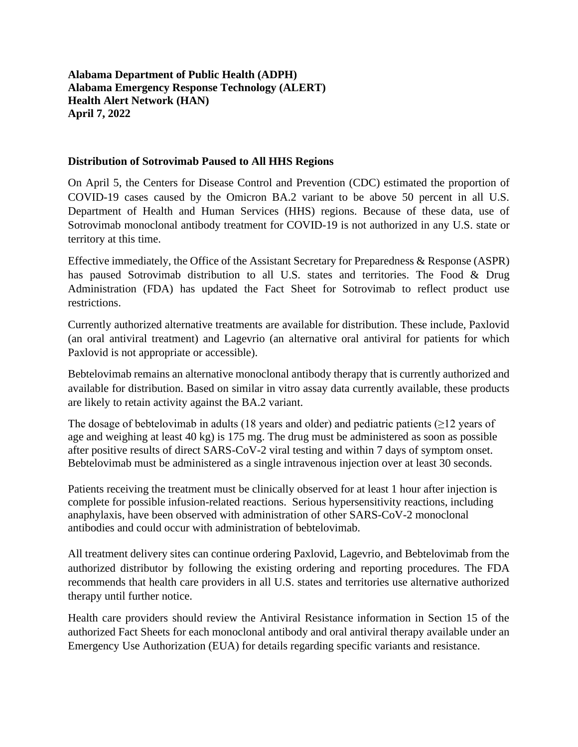**Alabama Department of Public Health (ADPH) Alabama Emergency Response Technology (ALERT) Health Alert Network (HAN) April 7, 2022**

## **Distribution of Sotrovimab Paused to All HHS Regions**

On April 5, the Centers for Disease Control and Prevention (CDC) estimated the proportion of COVID-19 cases caused by the Omicron BA.2 variant to be above 50 percent in all U.S. Department of Health and Human Services (HHS) regions. Because of these data, use of Sotrovimab monoclonal antibody treatment for COVID-19 is not authorized in any U.S. state or territory at this time.

Effective immediately, the Office of the Assistant Secretary for Preparedness & Response (ASPR) has paused Sotrovimab distribution to all U.S. states and territories. The Food & Drug Administration (FDA) has updated the Fact Sheet for Sotrovimab to reflect product use restrictions.

Currently authorized alternative treatments are available for distribution. These include, Paxlovid (an oral antiviral treatment) and Lagevrio (an alternative oral antiviral for patients for which Paxlovid is not appropriate or accessible).

Bebtelovimab remains an alternative monoclonal antibody therapy that is currently authorized and available for distribution. Based on similar in vitro assay data currently available, these products are likely to retain activity against the BA.2 variant.

The dosage of bebtelovimab in adults (18 years and older) and pediatric patients ( $\geq$ 12 years of age and weighing at least 40 kg) is 175 mg. The drug must be administered as soon as possible after positive results of direct SARS-CoV-2 viral testing and within 7 days of symptom onset. Bebtelovimab must be administered as a single intravenous injection over at least 30 seconds.

Patients receiving the treatment must be clinically observed for at least 1 hour after injection is complete for possible infusion-related reactions. Serious hypersensitivity reactions, including anaphylaxis, have been observed with administration of other SARS-CoV-2 monoclonal antibodies and could occur with administration of bebtelovimab.

All treatment delivery sites can continue ordering Paxlovid, Lagevrio, and Bebtelovimab from the authorized distributor by following the existing ordering and reporting procedures. The FDA recommends that health care providers in all U.S. states and territories use alternative authorized therapy until further notice.

Health care providers should review the Antiviral Resistance information in Section 15 of the authorized Fact Sheets for each monoclonal antibody and oral antiviral therapy available under an Emergency Use Authorization (EUA) for details regarding specific variants and resistance.